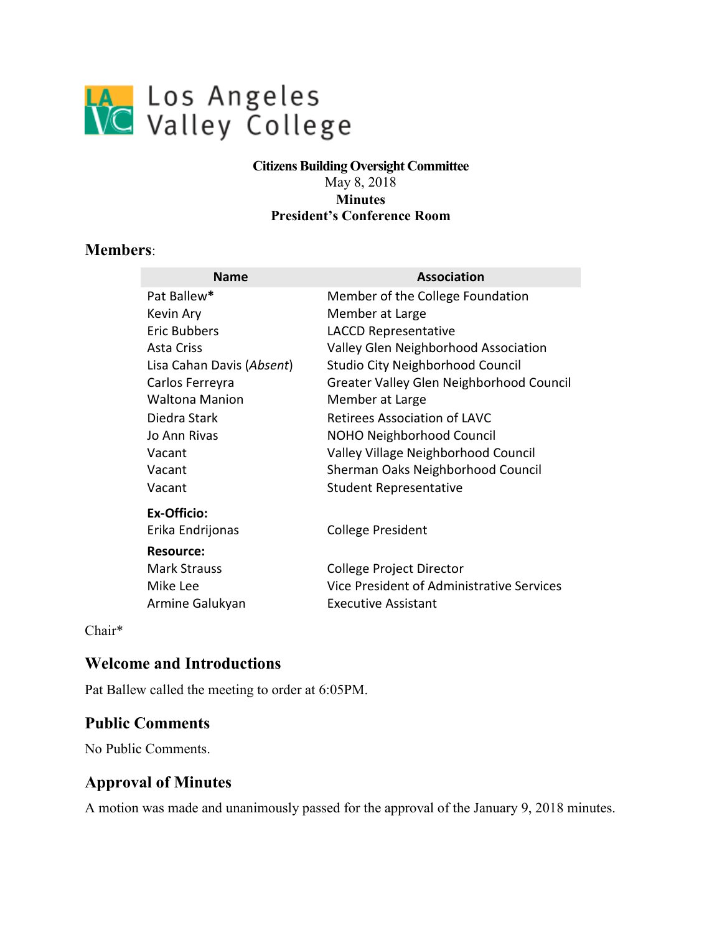

#### **Citizens Building Oversight Committee**  May 8, 2018 **Minutes President's Conference Room**

### **Members**:

| <b>Name</b>               | Association                               |
|---------------------------|-------------------------------------------|
| Pat Ballew*               | Member of the College Foundation          |
| Kevin Ary                 | Member at Large                           |
| Eric Bubbers              | <b>LACCD Representative</b>               |
| Asta Criss                | Valley Glen Neighborhood Association      |
| Lisa Cahan Davis (Absent) | Studio City Neighborhood Council          |
| Carlos Ferreyra           | Greater Valley Glen Neighborhood Council  |
| <b>Waltona Manion</b>     | Member at Large                           |
| Diedra Stark              | Retirees Association of LAVC              |
| Jo Ann Rivas              | <b>NOHO Neighborhood Council</b>          |
| Vacant                    | Valley Village Neighborhood Council       |
| Vacant                    | Sherman Oaks Neighborhood Council         |
| Vacant                    | <b>Student Representative</b>             |
| Ex-Officio:               |                                           |
| Erika Endrijonas          | College President                         |
| Resource:                 |                                           |
| <b>Mark Strauss</b>       | College Project Director                  |
| Mike Lee                  | Vice President of Administrative Services |
| Armine Galukyan           | <b>Executive Assistant</b>                |

Chair\*

#### **Welcome and Introductions**

Pat Ballew called the meeting to order at 6:05PM.

#### **Public Comments**

No Public Comments.

## **Approval of Minutes**

A motion was made and unanimously passed for the approval of the January 9, 2018 minutes.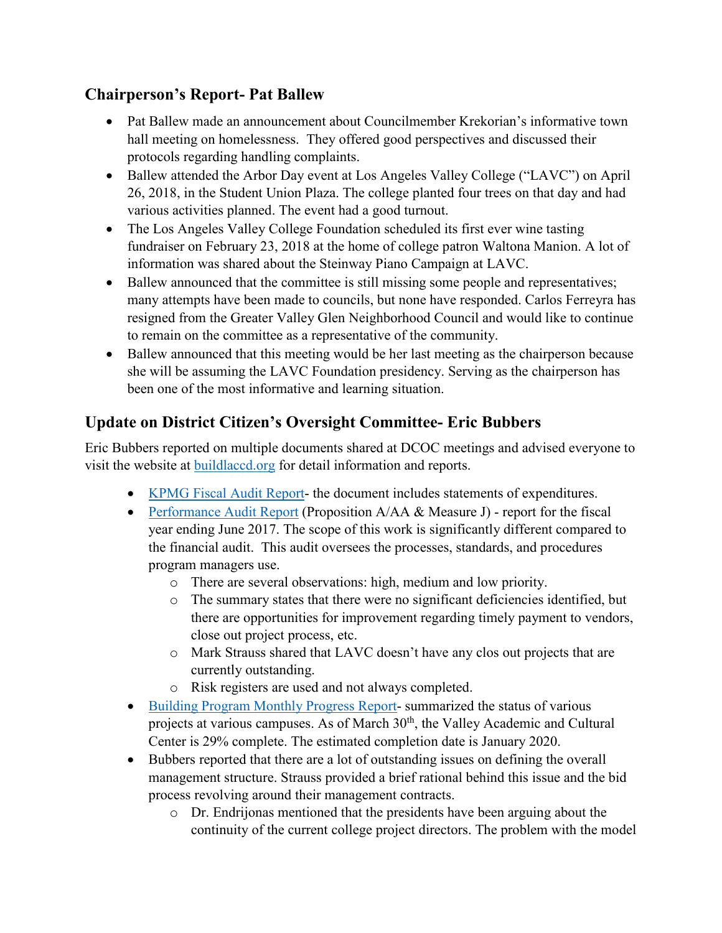# **Chairperson's Report- Pat Ballew**

- Pat Ballew made an announcement about Councilmember Krekorian's informative town hall meeting on homelessness. They offered good perspectives and discussed their protocols regarding handling complaints.
- Ballew attended the Arbor Day event at Los Angeles Valley College ("LAVC") on April 26, 2018, in the Student Union Plaza. The college planted four trees on that day and had various activities planned. The event had a good turnout.
- • The Los Angeles Valley College Foundation scheduled its first ever wine tasting fundraiser on February 23, 2018 at the home of college patron Waltona Manion. A lot of information was shared about the Steinway Piano Campaign at LAVC.
- to remain on the committee as a representative of the community. • Ballew announced that the committee is still missing some people and representatives; many attempts have been made to councils, but none have responded. Carlos Ferreyra has resigned from the Greater Valley Glen Neighborhood Council and would like to continue
- Ballew announced that this meeting would be her last meeting as the chairperson because she will be assuming the LAVC Foundation presidency. Serving as the chairperson has been one of the most informative and learning situation.

# **Update on District Citizen's Oversight Committee- Eric Bubbers**

Eric Bubbers reported on multiple documents shared at DCOC meetings and advised everyone to visit the website at [buildlaccd.org](http://www.buildlaccd.org/) for detail information and reports.

- [KPMG Fiscal Audit Report-](http://www.build-laccd.org/oversight/reviews-and-audits) the document includes statements of expenditures.
- [Performance Audit Report](http://az776130.vo.msecnd.net/media/docs/default-source/dcoc/reviews-and-audits/performance-audits/proposition-a-aa-and-measure-j-performance-audit-fiscal-year-ended-june-30-2017.pdf?sfvrsn=0) (Proposition A/AA & Measure J) report for the fiscal the financial audit. This audit oversees the processes, standards, and procedures year ending June 2017. The scope of this work is significantly different compared to program managers use.
	- o There are several observations: high, medium and low priority.
	- o The summary states that there were no significant deficiencies identified, but there are opportunities for improvement regarding timely payment to vendors, close out project process, etc.
	- o Mark Strauss shared that LAVC doesn't have any clos out projects that are currently outstanding.
	- o Risk registers are used and not always completed.
- [Building Program Monthly Progress Report-](http://az776130.vo.msecnd.net/media/docs/default-source/Dashboard/mar-2018-dashboard.pdf?sfvrsn=0) summarized the status of various projects at various campuses. As of March 30<sup>th</sup>, the Valley Academic and Cultural Center is 29% complete. The estimated completion date is January 2020.
- process revolving around their management contracts. • Bubbers reported that there are a lot of outstanding issues on defining the overall management structure. Strauss provided a brief rational behind this issue and the bid
	- o Dr. Endrijonas mentioned that the presidents have been arguing about the continuity of the current college project directors. The problem with the model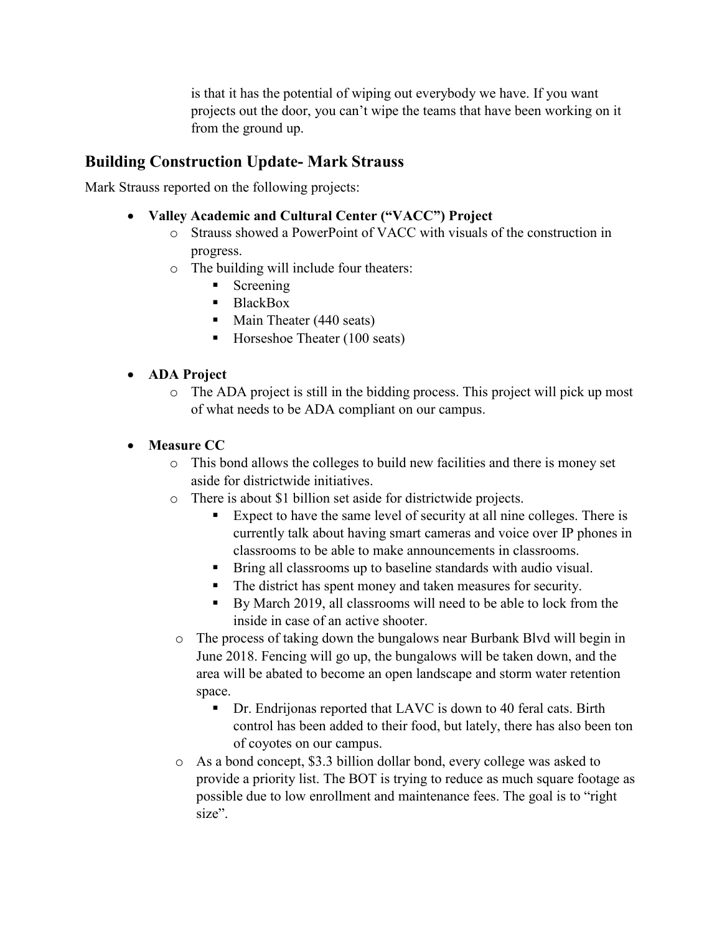is that it has the potential of wiping out everybody we have. If you want from the ground up. projects out the door, you can't wipe the teams that have been working on it

# **Building Construction Update- Mark Strauss**

Mark Strauss reported on the following projects:

- **Valley Academic and Cultural Center ("VACC") Project** 
	- o Strauss showed a PowerPoint of VACC with visuals of the construction in progress.
	- o The building will include four theaters:
		- $Screening$
		- BlackBox
		- Main Theater (440 seats)
		- $\blacksquare$  Horseshoe Theater (100 seats)

### • **ADA Project**

o The ADA project is still in the bidding process. This project will pick up most of what needs to be ADA compliant on our campus.

## • **Measure CC**

- o This bond allows the colleges to build new facilities and there is money set aside for districtwide initiatives.
- o There is about \$1 billion set aside for districtwide projects.
	- Expect to have the same level of security at all nine colleges. There is currently talk about having smart cameras and voice over IP phones in classrooms to be able to make announcements in classrooms.
	- Bring all classrooms up to baseline standards with audio visual.
	- The district has spent money and taken measures for security.
	- By March 2019, all classrooms will need to be able to lock from the inside in case of an active shooter.
- o The process of taking down the bungalows near Burbank Blvd will begin in June 2018. Fencing will go up, the bungalows will be taken down, and the area will be abated to become an open landscape and storm water retention space.
	- of coyotes on our campus. ■ Dr. Endrijonas reported that LAVC is down to 40 feral cats. Birth control has been added to their food, but lately, there has also been ton
- o As a bond concept, \$3.3 billion dollar bond, every college was asked to provide a priority list. The BOT is trying to reduce as much square footage as possible due to low enrollment and maintenance fees. The goal is to "right size".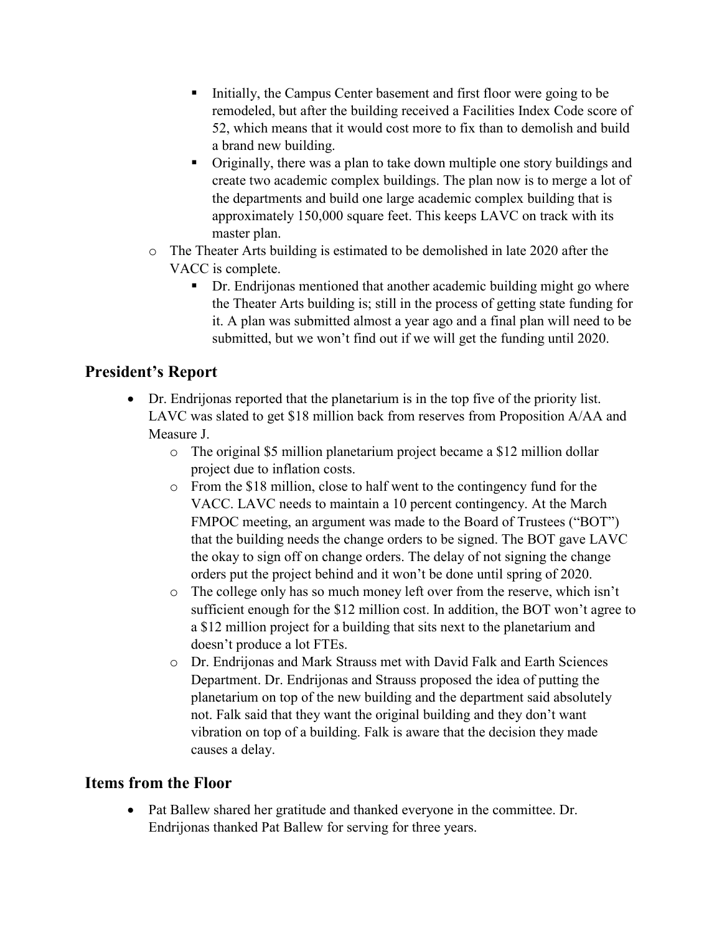- Initially, the Campus Center basement and first floor were going to be remodeled, but after the building received a Facilities Index Code score of 52, which means that it would cost more to fix than to demolish and build a brand new building.
- Originally, there was a plan to take down multiple one story buildings and create two academic complex buildings. The plan now is to merge a lot of the departments and build one large academic complex building that is approximately 150,000 square feet. This keeps LAVC on track with its master plan.
- o The Theater Arts building is estimated to be demolished in late 2020 after the VACC is complete.
	- it. A plan was submitted almost a year ago and a final plan will need to be Dr. Endrijonas mentioned that another academic building might go where the Theater Arts building is; still in the process of getting state funding for submitted, but we won't find out if we will get the funding until 2020.

# **President's Report**

- LAVC was slated to get \$18 million back from reserves from Proposition A/AA and Measure J. • Dr. Endrijonas reported that the planetarium is in the top five of the priority list.
	- o The original \$5 million planetarium project became a \$12 million dollar project due to inflation costs.
	- o From the \$18 million, close to half went to the contingency fund for the FMPOC meeting, an argument was made to the Board of Trustees ("BOT") the okay to sign off on change orders. The delay of not signing the change orders put the project behind and it won't be done until spring of 2020. VACC. LAVC needs to maintain a 10 percent contingency. At the March that the building needs the change orders to be signed. The BOT gave LAVC
	- a \$12 million project for a building that sits next to the planetarium and o The college only has so much money left over from the reserve, which isn't sufficient enough for the \$12 million cost. In addition, the BOT won't agree to doesn't produce a lot FTEs.
	- vibration on top of a building. Falk is aware that the decision they made o Dr. Endrijonas and Mark Strauss met with David Falk and Earth Sciences Department. Dr. Endrijonas and Strauss proposed the idea of putting the planetarium on top of the new building and the department said absolutely not. Falk said that they want the original building and they don't want causes a delay.

## **Items from the Floor**

 Endrijonas thanked Pat Ballew for serving for three years. • Pat Ballew shared her gratitude and thanked everyone in the committee. Dr.